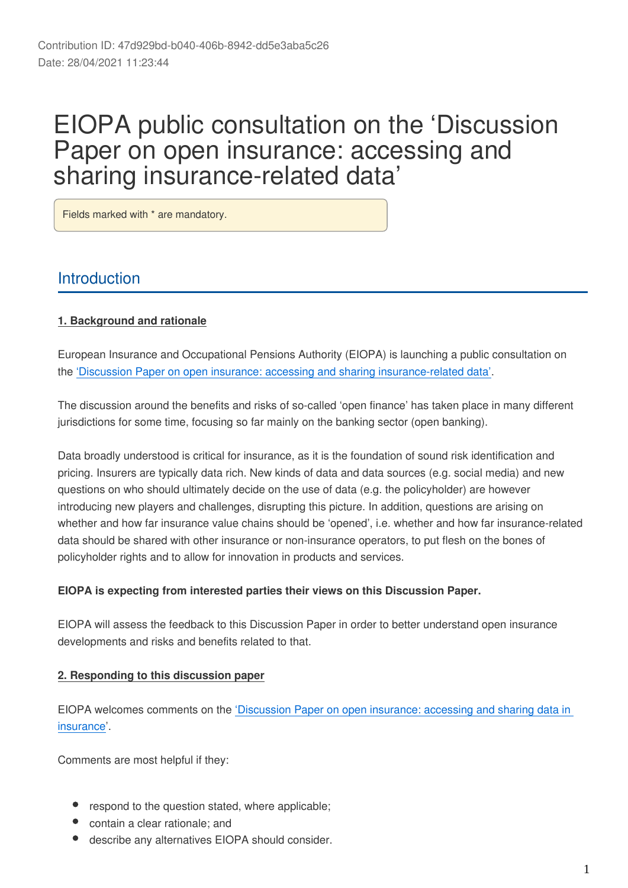# EIOPA public consultation on the 'Discussion Paper on open insurance: accessing and sharing insurance-related data'

Fields marked with \* are mandatory.

# **Introduction**

# **1. Background and rationale**

European Insurance and Occupational Pensions Authority (EIOPA) is launching a public consultation on the ['Discussion Paper on open insurance: accessing and sharing insurance-related data'.](https://www.eiopa.europa.eu/content/open-insurance-accessing-and-sharing-insurance-related-data)

The discussion around the benefits and risks of so-called 'open finance' has taken place in many different jurisdictions for some time, focusing so far mainly on the banking sector (open banking).

Data broadly understood is critical for insurance, as it is the foundation of sound risk identification and pricing. Insurers are typically data rich. New kinds of data and data sources (e.g. social media) and new questions on who should ultimately decide on the use of data (e.g. the policyholder) are however introducing new players and challenges, disrupting this picture. In addition, questions are arising on whether and how far insurance value chains should be 'opened', i.e. whether and how far insurance-related data should be shared with other insurance or non-insurance operators, to put flesh on the bones of policyholder rights and to allow for innovation in products and services.

# **EIOPA is expecting from interested parties their views on this Discussion Paper.**

EIOPA will assess the feedback to this Discussion Paper in order to better understand open insurance developments and risks and benefits related to that.

## **2. Responding to this discussion paper**

EIOPA welcomes comments on the ['Discussion Paper on open insurance: accessing and sharing data in](https://www.eiopa.europa.eu/content/open-insurance-accessing-and-sharing-insurance-related-data)  [insurance](https://www.eiopa.europa.eu/content/open-insurance-accessing-and-sharing-insurance-related-data)'.

Comments are most helpful if they:

- respond to the question stated, where applicable;
- contain a clear rationale; and
- describe any alternatives EIOPA should consider.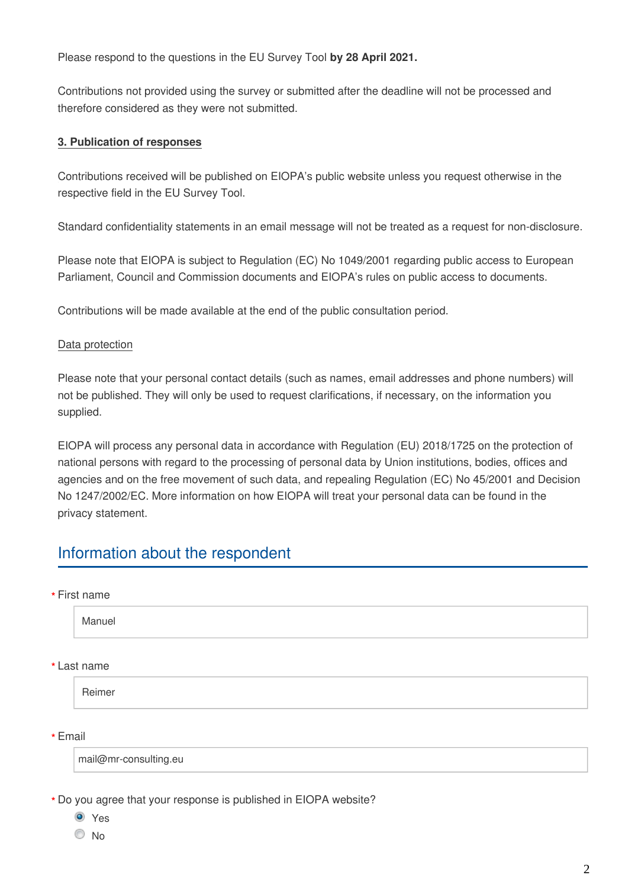Please respond to the questions in the EU Survey Tool **by 28 April 2021.**

Contributions not provided using the survey or submitted after the deadline will not be processed and therefore considered as they were not submitted.

# **3. Publication of responses**

Contributions received will be published on EIOPA's public website unless you request otherwise in the respective field in the EU Survey Tool.

Standard confidentiality statements in an email message will not be treated as a request for non-disclosure.

Please note that EIOPA is subject to Regulation (EC) No 1049/2001 regarding public access to European Parliament, Council and Commission documents and EIOPA's rules on public access to documents.

Contributions will be made available at the end of the public consultation period.

# Data protection

Please note that your personal contact details (such as names, email addresses and phone numbers) will not be published. They will only be used to request clarifications, if necessary, on the information you supplied.

EIOPA will process any personal data in accordance with Regulation (EU) 2018/1725 on the protection of national persons with regard to the processing of personal data by Union institutions, bodies, offices and agencies and on the free movement of such data, and repealing Regulation (EC) No 45/2001 and Decision No 1247/2002/EC. More information on how EIOPA will treat your personal data can be found in the privacy statement.

# Information about the respondent

First name **\***

Manuel

Last name **\***

Reimer

Email **\***

mail@mr-consulting.eu

Do you agree that your response is published in EIOPA website? **\***

<sup>O</sup> Yes

O No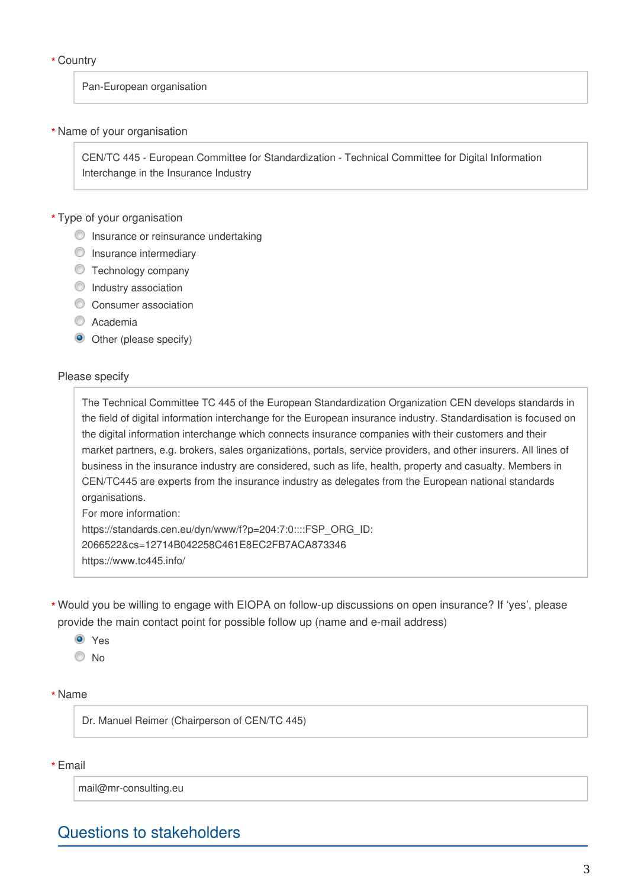## Country **\***

#### Pan-European organisation

## Name of your organisation **\***

CEN/TC 445 - European Committee for Standardization - Technical Committee for Digital Information Interchange in the Insurance Industry

# Type of your organisation **\***

- **O** Insurance or reinsurance undertaking
- **O** Insurance intermediary
- **Technology company**
- **O** Industry association
- Consumer association
- C Academia
- Other (please specify)

#### Please specify

The Technical Committee TC 445 of the European Standardization Organization CEN develops standards in the field of digital information interchange for the European insurance industry. Standardisation is focused on the digital information interchange which connects insurance companies with their customers and their market partners, e.g. brokers, sales organizations, portals, service providers, and other insurers. All lines of business in the insurance industry are considered, such as life, health, property and casualty. Members in CEN/TC445 are experts from the insurance industry as delegates from the European national standards organisations. For more information:

https://standards.cen.eu/dyn/www/f?p=204:7:0::::FSP\_ORG\_ID: 2066522&cs=12714B042258C461E8EC2FB7ACA873346 https://www.tc445.info/

- Would you be willing to engage with EIOPA on follow-up discussions on open insurance? If 'yes', please **\*** provide the main contact point for possible follow up (name and e-mail address)
	- <sup>O</sup> Yes
	- © No

#### Name **\***

Dr. Manuel Reimer (Chairperson of CEN/TC 445)

Email **\***

mail@mr-consulting.eu

# Questions to stakeholders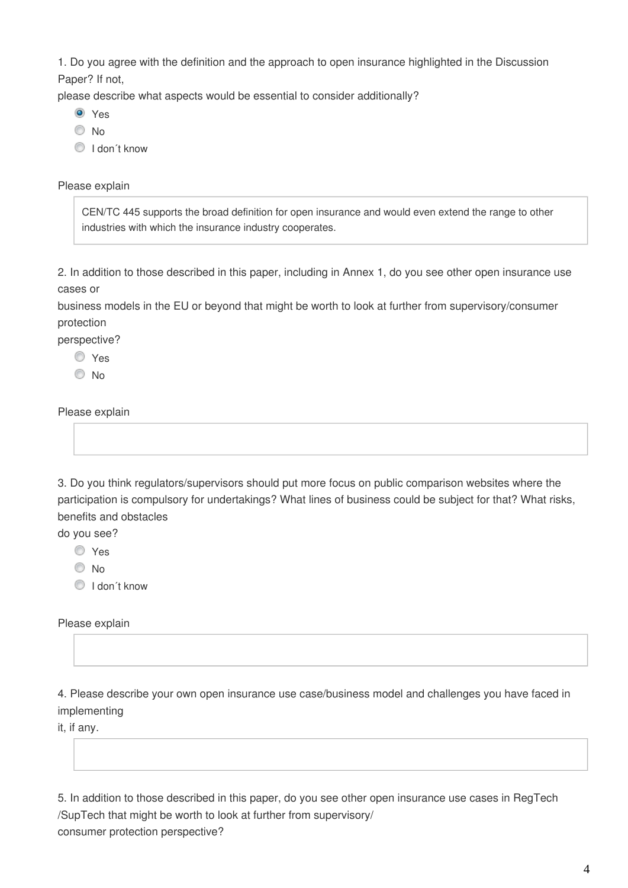1. Do you agree with the definition and the approach to open insurance highlighted in the Discussion Paper? If not,

please describe what aspects would be essential to consider additionally?

- **O** Yes
- <sup>O</sup>No
- I don´t know

#### Please explain

CEN/TC 445 supports the broad definition for open insurance and would even extend the range to other industries with which the insurance industry cooperates.

2. In addition to those described in this paper, including in Annex 1, do you see other open insurance use cases or

business models in the EU or beyond that might be worth to look at further from supervisory/consumer protection

perspective?

Yes

<sup>O</sup>No

Please explain

3. Do you think regulators/supervisors should put more focus on public comparison websites where the participation is compulsory for undertakings? What lines of business could be subject for that? What risks, benefits and obstacles

do you see?

Yes

© No

I don´t know

Please explain

4. Please describe your own open insurance use case/business model and challenges you have faced in implementing

it, if any.

5. In addition to those described in this paper, do you see other open insurance use cases in RegTech /SupTech that might be worth to look at further from supervisory/ consumer protection perspective?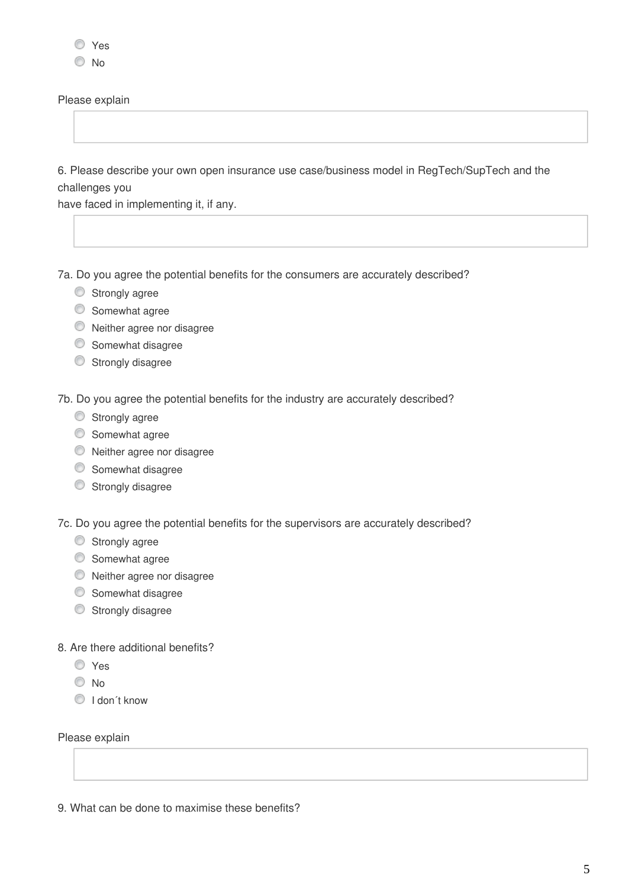Please explain

6. Please describe your own open insurance use case/business model in RegTech/SupTech and the challenges you

have faced in implementing it, if any.

7a. Do you agree the potential benefits for the consumers are accurately described?

- **Strongly agree**
- Somewhat agree
- Neither agree nor disagree
- Somewhat disagree
- Strongly disagree

7b. Do you agree the potential benefits for the industry are accurately described?

- Strongly agree
- Somewhat agree
- Neither agree nor disagree
- Somewhat disagree
- Strongly disagree

7c. Do you agree the potential benefits for the supervisors are accurately described?

- **Strongly agree**
- Somewhat agree
- Neither agree nor disagree
- Somewhat disagree
- Strongly disagree

8. Are there additional benefits?

- Yes
- No
- $\textcircled{1}$  I don't know

Please explain

9. What can be done to maximise these benefits?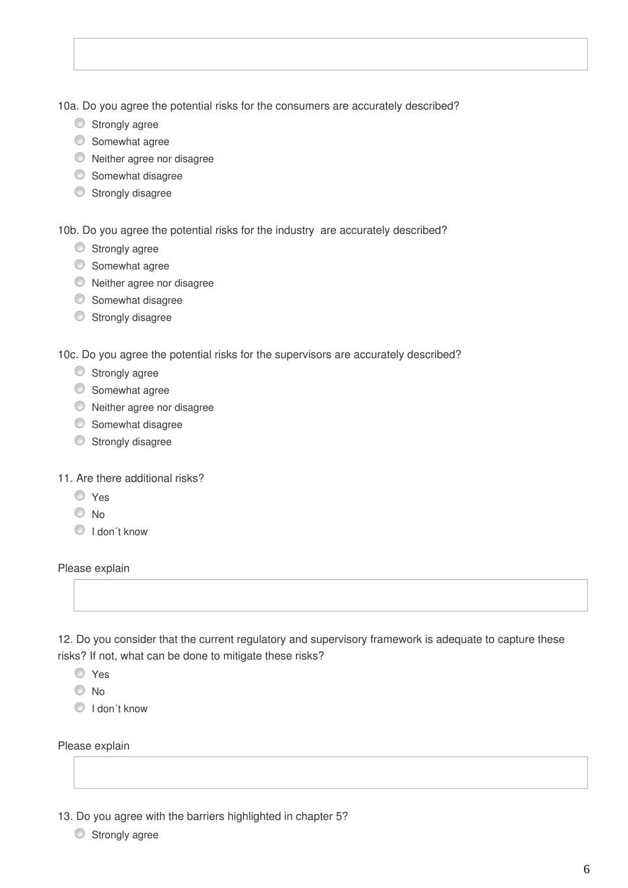10a. Do you agree the potential risks for the consumers are accurately described?

- Strongly agree
- $\circledcirc$  Somewhat agree
- Neither agree nor disagree
- **Somewhat disagree**
- Strongly disagree

10b. Do you agree the potential risks for the industry are accurately described?

- Strongly agree
- Somewhat agree
- Neither agree nor disagree
- Somewhat disagree
- Strongly disagree

10c. Do you agree the potential risks for the supervisors are accurately described?

- Strongly agree
- Somewhat agree
- Neither agree nor disagree
- Somewhat disagree
- Strongly disagree
- 11. Are there additional risks?
	- Yes
	- $\odot$  No.
	- O I don't know

Please explain

12. Do you consider that the current regulatory and supervisory framework is adequate to capture these risks? If not, what can be done to mitigate these risks?

Yes

<sup>O</sup>No

 $\bigcirc$  I don't know

Please explain

13. Do you agree with the barriers highlighted in chapter 5?

**Strongly agree**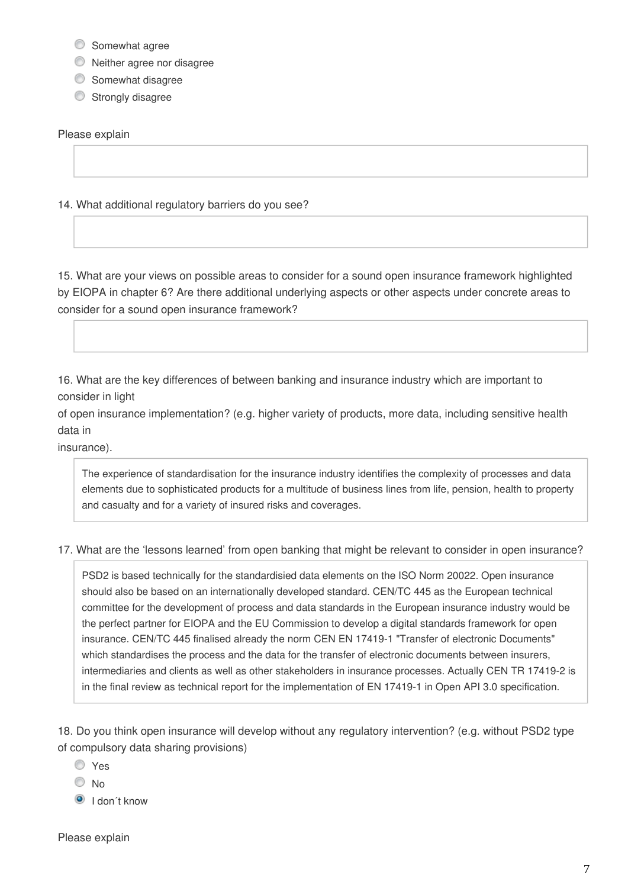- **Somewhat agree**
- Neither agree nor disagree
- Somewhat disagree
- Strongly disagree

Please explain

14. What additional regulatory barriers do you see?

15. What are your views on possible areas to consider for a sound open insurance framework highlighted by EIOPA in chapter 6? Are there additional underlying aspects or other aspects under concrete areas to consider for a sound open insurance framework?

16. What are the key differences of between banking and insurance industry which are important to consider in light

of open insurance implementation? (e.g. higher variety of products, more data, including sensitive health data in

insurance).

The experience of standardisation for the insurance industry identifies the complexity of processes and data elements due to sophisticated products for a multitude of business lines from life, pension, health to property and casualty and for a variety of insured risks and coverages.

## 17. What are the 'lessons learned' from open banking that might be relevant to consider in open insurance?

PSD2 is based technically for the standardisied data elements on the ISO Norm 20022. Open insurance should also be based on an internationally developed standard. CEN/TC 445 as the European technical committee for the development of process and data standards in the European insurance industry would be the perfect partner for EIOPA and the EU Commission to develop a digital standards framework for open insurance. CEN/TC 445 finalised already the norm CEN EN 17419-1 "Transfer of electronic Documents" which standardises the process and the data for the transfer of electronic documents between insurers, intermediaries and clients as well as other stakeholders in insurance processes. Actually CEN TR 17419-2 is in the final review as technical report for the implementation of EN 17419-1 in Open API 3.0 specification.

18. Do you think open insurance will develop without any regulatory intervention? (e.g. without PSD2 type of compulsory data sharing provisions)

- Yes
- © No
- $\bullet$  I don't know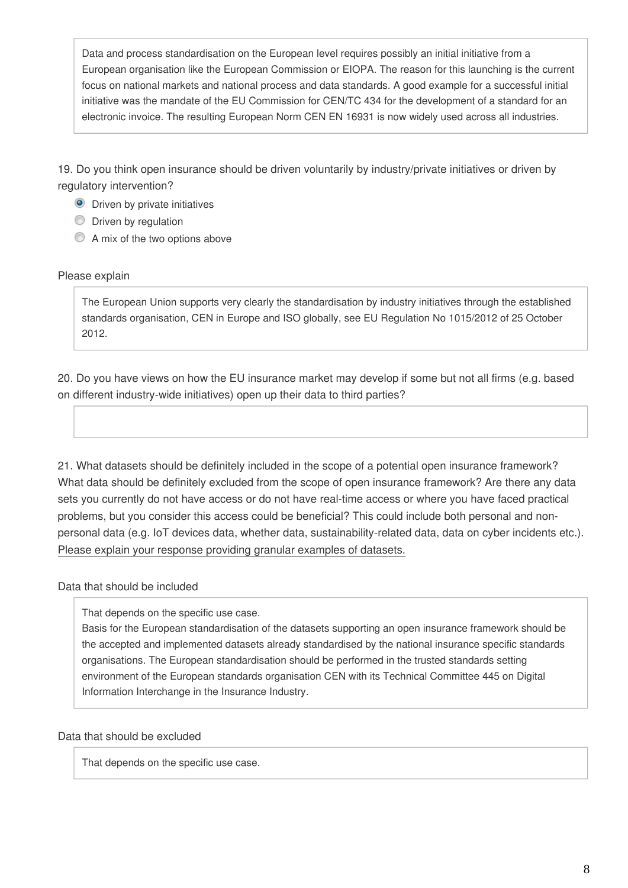Data and process standardisation on the European level requires possibly an initial initiative from a European organisation like the European Commission or EIOPA. The reason for this launching is the current focus on national markets and national process and data standards. A good example for a successful initial initiative was the mandate of the EU Commission for CEN/TC 434 for the development of a standard for an electronic invoice. The resulting European Norm CEN EN 16931 is now widely used across all industries.

19. Do you think open insurance should be driven voluntarily by industry/private initiatives or driven by regulatory intervention?

- **O** Driven by private initiatives
- **Driven by regulation**
- A mix of the two options above

## Please explain

The European Union supports very clearly the standardisation by industry initiatives through the established standards organisation, CEN in Europe and ISO globally, see EU Regulation No 1015/2012 of 25 October 2012.

20. Do you have views on how the EU insurance market may develop if some but not all firms (e.g. based on different industry-wide initiatives) open up their data to third parties?

21. What datasets should be definitely included in the scope of a potential open insurance framework? What data should be definitely excluded from the scope of open insurance framework? Are there any data sets you currently do not have access or do not have real-time access or where you have faced practical problems, but you consider this access could be beneficial? This could include both personal and nonpersonal data (e.g. IoT devices data, whether data, sustainability-related data, data on cyber incidents etc.). Please explain your response providing granular examples of datasets.

# Data that should be included

That depends on the specific use case.

Basis for the European standardisation of the datasets supporting an open insurance framework should be the accepted and implemented datasets already standardised by the national insurance specific standards organisations. The European standardisation should be performed in the trusted standards setting environment of the European standards organisation CEN with its Technical Committee 445 on Digital Information Interchange in the Insurance Industry.

## Data that should be excluded

That depends on the specific use case.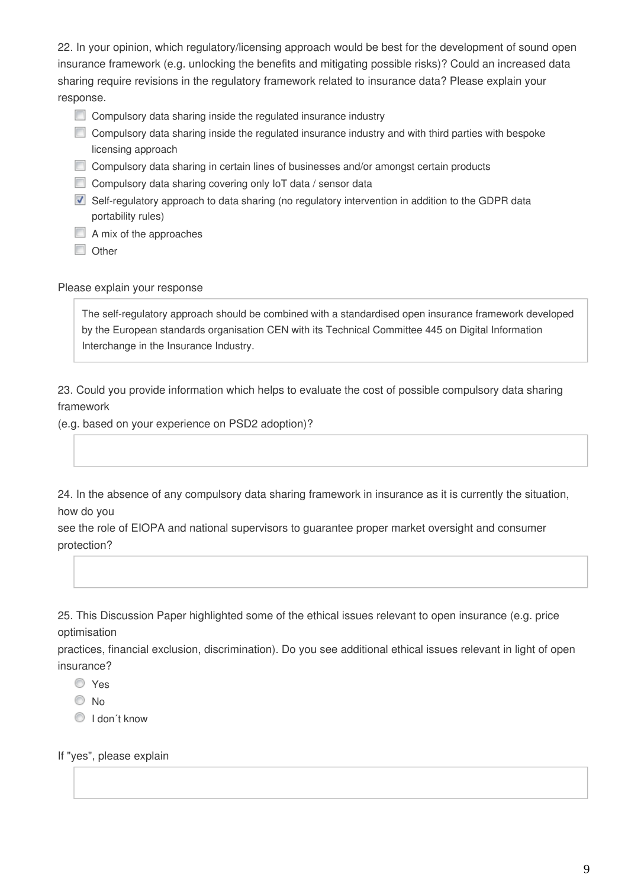22. In your opinion, which regulatory/licensing approach would be best for the development of sound open insurance framework (e.g. unlocking the benefits and mitigating possible risks)? Could an increased data sharing require revisions in the regulatory framework related to insurance data? Please explain your response.

- Compulsory data sharing inside the regulated insurance industry
- Compulsory data sharing inside the regulated insurance industry and with third parties with bespoke licensing approach
- Compulsory data sharing in certain lines of businesses and/or amongst certain products
- Compulsory data sharing covering only IoT data / sensor data
- Self-regulatory approach to data sharing (no regulatory intervention in addition to the GDPR data portability rules)
- $\Box$  A mix of the approaches
- **Other**

Please explain your response

The self-regulatory approach should be combined with a standardised open insurance framework developed by the European standards organisation CEN with its Technical Committee 445 on Digital Information Interchange in the Insurance Industry.

23. Could you provide information which helps to evaluate the cost of possible compulsory data sharing framework

(e.g. based on your experience on PSD2 adoption)?

24. In the absence of any compulsory data sharing framework in insurance as it is currently the situation, how do you

see the role of EIOPA and national supervisors to guarantee proper market oversight and consumer protection?

25. This Discussion Paper highlighted some of the ethical issues relevant to open insurance (e.g. price optimisation

practices, financial exclusion, discrimination). Do you see additional ethical issues relevant in light of open insurance?

- Yes
- © No
- **I** don't know

If "yes", please explain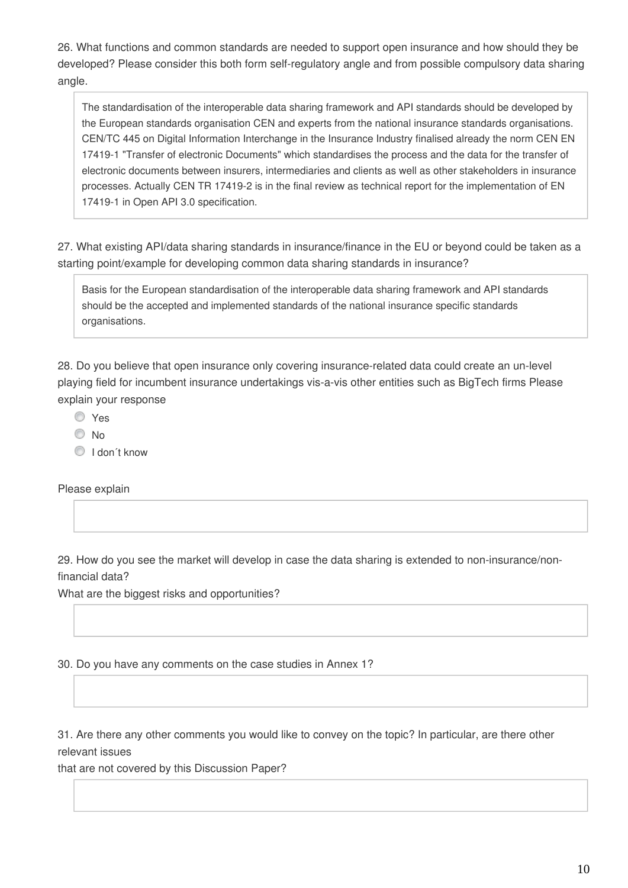26. What functions and common standards are needed to support open insurance and how should they be developed? Please consider this both form self-regulatory angle and from possible compulsory data sharing angle.

The standardisation of the interoperable data sharing framework and API standards should be developed by the European standards organisation CEN and experts from the national insurance standards organisations. CEN/TC 445 on Digital Information Interchange in the Insurance Industry finalised already the norm CEN EN 17419-1 "Transfer of electronic Documents" which standardises the process and the data for the transfer of electronic documents between insurers, intermediaries and clients as well as other stakeholders in insurance processes. Actually CEN TR 17419-2 is in the final review as technical report for the implementation of EN 17419-1 in Open API 3.0 specification.

27. What existing API/data sharing standards in insurance/finance in the EU or beyond could be taken as a starting point/example for developing common data sharing standards in insurance?

Basis for the European standardisation of the interoperable data sharing framework and API standards should be the accepted and implemented standards of the national insurance specific standards organisations.

28. Do you believe that open insurance only covering insurance-related data could create an un-level playing field for incumbent insurance undertakings vis-a-vis other entities such as BigTech firms Please explain your response

- Yes
- $\odot$  No
- O I don't know

Please explain

29. How do you see the market will develop in case the data sharing is extended to non-insurance/nonfinancial data?

What are the biggest risks and opportunities?

30. Do you have any comments on the case studies in Annex 1?

31. Are there any other comments you would like to convey on the topic? In particular, are there other relevant issues

that are not covered by this Discussion Paper?